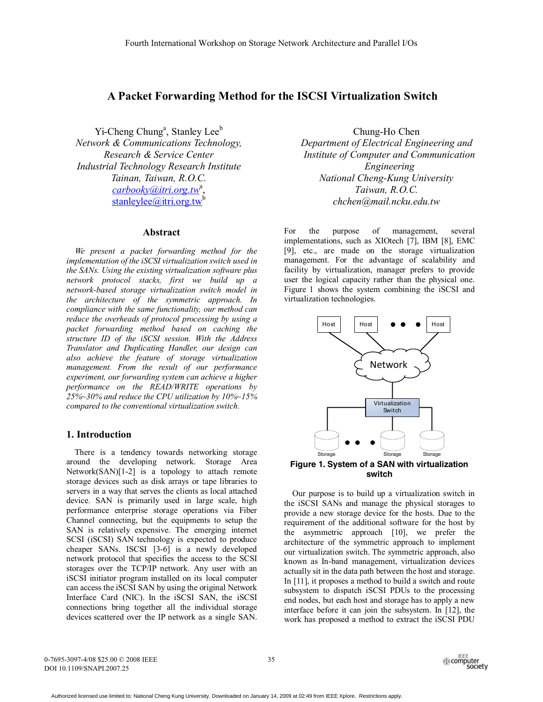# **A Packet Forwarding Method for the ISCSI Virtualization Switch**

Yi-Cheng Chung<sup>a</sup>, Stanley Lee<sup>b</sup> *Network & Communications Technology, Research & Service Center Industrial Technology Research Institute Tainan, Taiwan, R.O.C. carbooky@itri.org.tw*<sup>a</sup> , stanleylee@itri.org.tw<sup>b</sup>

# **Abstract**

*We present a packet forwarding method for the implementation of the iSCSI virtualization switch used in the SANs. Using the existing virtualization software plus network protocol stacks, first we build up a network-based storage virtualization switch model in the architecture of the symmetric approach. In compliance with the same functionality, our method can reduce the overheads of protocol processing by using a packet forwarding method based on caching the structure ID of the iSCSI session. With the Address Translator and Duplicating Handler, our design can also achieve the feature of storage virtualization management. From the result of our performance experiment, our forwarding system can achieve a higher performance on the READ/WRITE operations by 25%~30% and reduce the CPU utilization by 10%~15% compared to the conventional virtualization switch.* 

# **1. Introduction**

 There is a tendency towards networking storage around the developing network. Storage Area Network(SAN)[1-2] is a topology to attach remote storage devices such as disk arrays or tape libraries to servers in a way that serves the clients as local attached device. SAN is primarily used in large scale, high performance enterprise storage operations via Fiber Channel connecting, but the equipments to setup the SAN is relatively expensive. The emerging internet SCSI (iSCSI) SAN technology is expected to produce cheaper SANs. ISCSI [3-6] is a newly developed network protocol that specifies the access to the SCSI storages over the TCP/IP network. Any user with an iSCSI initiator program installed on its local computer can access the iSCSI SAN by using the original Network Interface Card (NIC). In the iSCSI SAN, the iSCSI connections bring together all the individual storage devices scattered over the IP network as a single SAN.

Chung-Ho Chen *Department of Electrical Engineering and Institute of Computer and Communication Engineering National Cheng-Kung University Taiwan, R.O.C. chchen@mail.ncku.edu.tw*

For the purpose of management, several implementations, such as XIOtech [7], IBM [8], EMC [9], etc., are made on the storage virtualization management. For the advantage of scalability and facility by virtualization, manager prefers to provide user the logical capacity rather than the physical one. Figure 1 shows the system combining the iSCSI and virtualization technologies.



**switch** 

 Our purpose is to build up a virtualization switch in the iSCSI SANs and manage the physical storages to provide a new storage device for the hosts. Due to the requirement of the additional software for the host by the asymmetric approach [10], we prefer the architecture of the symmetric approach to implement our virtualization switch. The symmetric approach, also known as In-band management, virtualization devices actually sit in the data path between the host and storage. In [11], it proposes a method to build a switch and route subsystem to dispatch iSCSI PDUs to the processing end nodes, but each host and storage has to apply a new interface before it can join the subsystem. In [12], the work has proposed a method to extract the iSCSI PDU

0-7695-3097-4/08 \$25.00 © 2008 IEEE DOI 10.1109/SNAPI.2007.25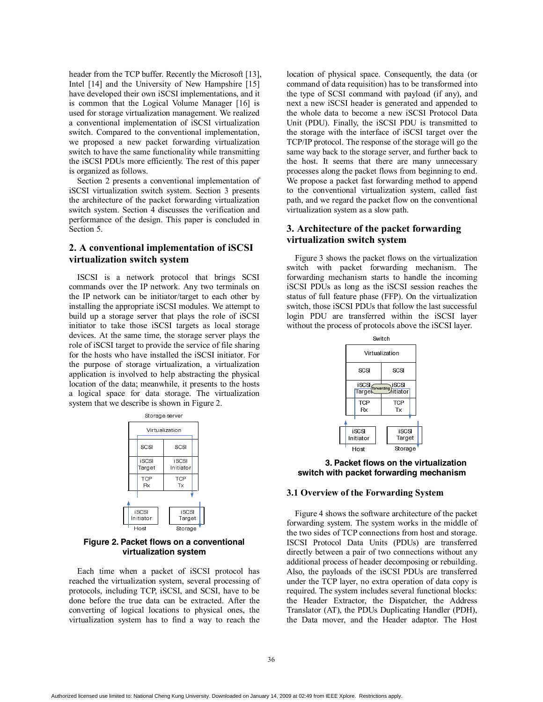header from the TCP buffer. Recently the Microsoft [13], Intel [14] and the University of New Hampshire [15] have developed their own iSCSI implementations, and it is common that the Logical Volume Manager [16] is used for storage virtualization management. We realized a conventional implementation of iSCSI virtualization switch. Compared to the conventional implementation, we proposed a new packet forwarding virtualization switch to have the same functionality while transmitting the iSCSI PDUs more efficiently. The rest of this paper is organized as follows.

 Section 2 presents a conventional implementation of iSCSI virtualization switch system. Section 3 presents the architecture of the packet forwarding virtualization switch system. Section 4 discusses the verification and performance of the design. This paper is concluded in Section 5.

# **2. A conventional implementation of iSCSI virtualization switch system**

 ISCSI is a network protocol that brings SCSI commands over the IP network. Any two terminals on the IP network can be initiator/target to each other by installing the appropriate iSCSI modules. We attempt to build up a storage server that plays the role of iSCSI initiator to take those iSCSI targets as local storage devices. At the same time, the storage server plays the role of iSCSI target to provide the service of file sharing for the hosts who have installed the iSCSI initiator. For the purpose of storage virtualization, a virtualization application is involved to help abstracting the physical location of the data; meanwhile, it presents to the hosts a logical space for data storage. The virtualization system that we describe is shown in Figure 2.

| Storage server |                     |                 |                     |  |  |
|----------------|---------------------|-----------------|---------------------|--|--|
|                | Virtualization      |                 |                     |  |  |
|                |                     | SCSI            | SCSI                |  |  |
|                |                     | iSCSI<br>Target | i SCSI<br>Initiator |  |  |
|                |                     | TCP<br>Rx       | <b>TCP</b><br>Tx    |  |  |
|                |                     |                 |                     |  |  |
|                | i SCSI<br>Initiator |                 | iSCSI<br>Target     |  |  |
|                | Host                |                 | Storage             |  |  |

**Figure 2. Packet flows on a conventional virtualization system** 

 Each time when a packet of iSCSI protocol has reached the virtualization system, several processing of protocols, including TCP, iSCSI, and SCSI, have to be done before the true data can be extracted. After the converting of logical locations to physical ones, the virtualization system has to find a way to reach the location of physical space. Consequently, the data (or command of data requisition) has to be transformed into the type of SCSI command with payload (if any), and next a new iSCSI header is generated and appended to the whole data to become a new iSCSI Protocol Data Unit (PDU). Finally, the iSCSI PDU is transmitted to the storage with the interface of iSCSI target over the TCP/IP protocol. The response of the storage will go the same way back to the storage server, and further back to the host. It seems that there are many unnecessary processes along the packet flows from beginning to end. We propose a packet fast forwarding method to append to the conventional virtualization system, called fast path, and we regard the packet flow on the conventional virtualization system as a slow path.

# **3. Architecture of the packet forwarding virtualization switch system**

 Figure 3 shows the packet flows on the virtualization switch with packet forwarding mechanism. The forwarding mechanism starts to handle the incoming iSCSI PDUs as long as the iSCSI session reaches the status of full feature phase (FFP). On the virtualization switch, those iSCSI PDUs that follow the last successful login PDU are transferred within the iSCSI layer without the process of protocols above the iSCSI layer.



**3. Packet flows on the virtualization switch with packet forwarding mechanism** 

### **3.1 Overview of the Forwarding System**

 Figure 4 shows the software architecture of the packet forwarding system. The system works in the middle of the two sides of TCP connections from host and storage. ISCSI Protocol Data Units (PDUs) are transferred directly between a pair of two connections without any additional process of header decomposing or rebuilding. Also, the payloads of the iSCSI PDUs are transferred under the TCP layer, no extra operation of data copy is required. The system includes several functional blocks: the Header Extractor, the Dispatcher, the Address Translator (AT), the PDUs Duplicating Handler (PDH), the Data mover, and the Header adaptor. The Host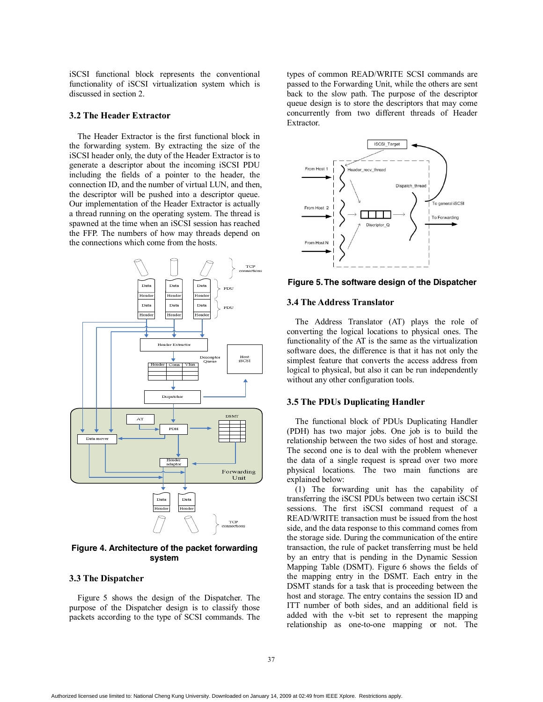iSCSI functional block represents the conventional functionality of iSCSI virtualization system which is discussed in section 2.

# **3.2 The Header Extractor**

 The Header Extractor is the first functional block in the forwarding system. By extracting the size of the iSCSI header only, the duty of the Header Extractor is to generate a descriptor about the incoming iSCSI PDU including the fields of a pointer to the header, the connection ID, and the number of virtual LUN, and then, the descriptor will be pushed into a descriptor queue. Our implementation of the Header Extractor is actually a thread running on the operating system. The thread is spawned at the time when an iSCSI session has reached the FFP. The numbers of how may threads depend on the connections which come from the hosts.



**Figure 4. Architecture of the packet forwarding system** 

### **3.3 The Dispatcher**

 Figure 5 shows the design of the Dispatcher. The purpose of the Dispatcher design is to classify those packets according to the type of SCSI commands. The

types of common READ/WRITE SCSI commands are passed to the Forwarding Unit, while the others are sent back to the slow path. The purpose of the descriptor queue design is to store the descriptors that may come concurrently from two different threads of Header Extractor.



**Figure 5. The software design of the Dispatcher** 

## **3.4 The Address Translator**

 The Address Translator (AT) plays the role of converting the logical locations to physical ones. The functionality of the AT is the same as the virtualization software does, the difference is that it has not only the simplest feature that converts the access address from logical to physical, but also it can be run independently without any other configuration tools.

### **3.5 The PDUs Duplicating Handler**

 The functional block of PDUs Duplicating Handler (PDH) has two major jobs. One job is to build the relationship between the two sides of host and storage. The second one is to deal with the problem whenever the data of a single request is spread over two more physical locations. The two main functions are explained below:

 (1) The forwarding unit has the capability of transferring the iSCSI PDUs between two certain iSCSI sessions. The first iSCSI command request of a READ/WRITE transaction must be issued from the host side, and the data response to this command comes from the storage side. During the communication of the entire transaction, the rule of packet transferring must be held by an entry that is pending in the Dynamic Session Mapping Table (DSMT). Figure 6 shows the fields of the mapping entry in the DSMT. Each entry in the DSMT stands for a task that is proceeding between the host and storage. The entry contains the session ID and ITT number of both sides, and an additional field is added with the v-bit set to represent the mapping relationship as one-to-one mapping or not. The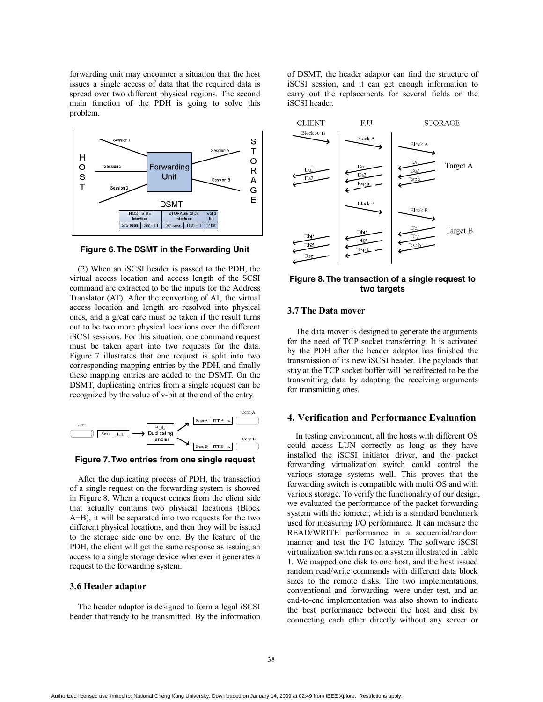forwarding unit may encounter a situation that the host issues a single access of data that the required data is spread over two different physical regions. The second main function of the PDH is going to solve this problem.



**Figure 6. The DSMT in the Forwarding Unit** 

 (2) When an iSCSI header is passed to the PDH, the virtual access location and access length of the SCSI command are extracted to be the inputs for the Address Translator (AT). After the converting of AT, the virtual access location and length are resolved into physical ones, and a great care must be taken if the result turns out to be two more physical locations over the different iSCSI sessions. For this situation, one command request must be taken apart into two requests for the data. Figure 7 illustrates that one request is split into two corresponding mapping entries by the PDH, and finally these mapping entries are added to the DSMT. On the DSMT, duplicating entries from a single request can be recognized by the value of v-bit at the end of the entry.



**Figure 7. Two entries from one single request**

 After the duplicating process of PDH, the transaction of a single request on the forwarding system is showed in Figure 8. When a request comes from the client side that actually contains two physical locations (Block A+B), it will be separated into two requests for the two different physical locations, and then they will be issued to the storage side one by one. By the feature of the PDH, the client will get the same response as issuing an access to a single storage device whenever it generates a request to the forwarding system.

#### **3.6 Header adaptor**

 The header adaptor is designed to form a legal iSCSI header that ready to be transmitted. By the information of DSMT, the header adaptor can find the structure of iSCSI session, and it can get enough information to carry out the replacements for several fields on the iSCSI header.



**Figure 8. The transaction of a single request to two targets**

### **3.7 The Data mover**

 The data mover is designed to generate the arguments for the need of TCP socket transferring. It is activated by the PDH after the header adaptor has finished the transmission of its new iSCSI header. The payloads that stay at the TCP socket buffer will be redirected to be the transmitting data by adapting the receiving arguments for transmitting ones.

## **4. Verification and Performance Evaluation**

 In testing environment, all the hosts with different OS could access LUN correctly as long as they have installed the iSCSI initiator driver, and the packet forwarding virtualization switch could control the various storage systems well. This proves that the forwarding switch is compatible with multi OS and with various storage. To verify the functionality of our design, we evaluated the performance of the packet forwarding system with the iometer, which is a standard benchmark used for measuring I/O performance. It can measure the READ/WRITE performance in a sequential/random manner and test the I/O latency. The software iSCSI virtualization switch runs on a system illustrated in Table 1. We mapped one disk to one host, and the host issued random read/write commands with different data block sizes to the remote disks. The two implementations, conventional and forwarding, were under test, and an end-to-end implementation was also shown to indicate the best performance between the host and disk by connecting each other directly without any server or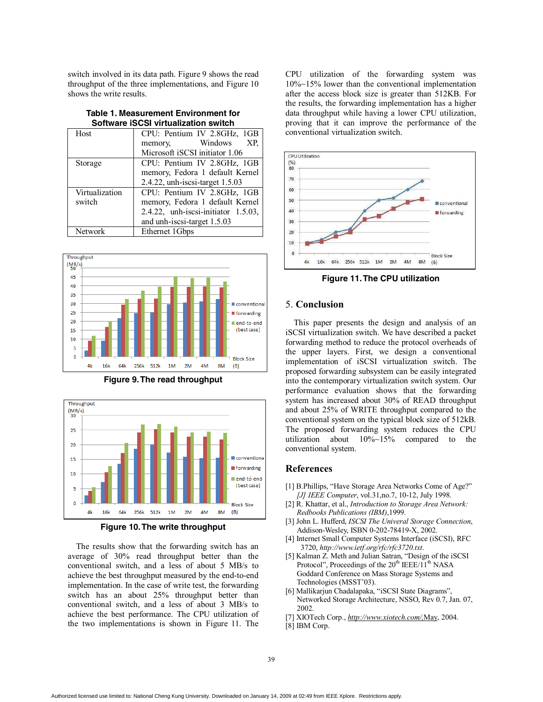switch involved in its data path. Figure 9 shows the read throughput of the three implementations, and Figure 10 shows the write results.

| Table 1. Measurement Environment for        |
|---------------------------------------------|
| Software <b>iSCSI</b> virtualization switch |

| Host           | CPU: Pentium IV 2.8GHz, 1GB            |
|----------------|----------------------------------------|
|                | Windows<br>XP.<br>memory,              |
|                | Microsoft iSCSI initiator 1.06         |
| Storage        | CPU: Pentium IV 2.8GHz, 1GB            |
|                | memory, Fedora 1 default Kernel        |
|                | 2.4.22, unh-iscsi-target 1.5.03        |
| Virtualization | CPU: Pentium IV 2.8GHz, 1GB            |
| switch         | memory, Fedora 1 default Kernel        |
|                | $2.4.22$ , unh-iscsi-initiator 1.5.03, |
|                | and unh-iscsi-target 1.5.03            |
| Network        | Ethernet 1Gbps                         |



**Figure 9. The read throughput**





 The results show that the forwarding switch has an average of 30% read throughput better than the conventional switch, and a less of about 5 MB/s to achieve the best throughput measured by the end-to-end implementation. In the case of write test, the forwarding switch has an about 25% throughput better than conventional switch, and a less of about 3 MB/s to achieve the best performance. The CPU utilization of the two implementations is shown in Figure 11. The

CPU utilization of the forwarding system was 10%~15% lower than the conventional implementation after the access block size is greater than 512KB. For the results, the forwarding implementation has a higher data throughput while having a lower CPU utilization, proving that it can improve the performance of the conventional virtualization switch.



**Figure 11. The CPU utilization** 

# 5. **Conclusion**

 This paper presents the design and analysis of an iSCSI virtualization switch. We have described a packet forwarding method to reduce the protocol overheads of the upper layers. First, we design a conventional implementation of iSCSI virtualization switch. The proposed forwarding subsystem can be easily integrated into the contemporary virtualization switch system. Our performance evaluation shows that the forwarding system has increased about 30% of READ throughput and about 25% of WRITE throughput compared to the conventional system on the typical block size of 512kB. The proposed forwarding system reduces the CPU utilization about 10%~15% compared to the conventional system.

# **References**

- [1] B.Phillips, "Have Storage Area Networks Come of Age?" *[J] IEEE Computer*, vol.31,no.7, 10-12, July 1998.
- [2] R. Khattar, et al., *Introduction to Storage Area Network: Redbooks Publications (IBM)*,1999.
- [3] John L. Hufferd, *ISCSI The Univeral Storage Connection*, Addison-Wesley, ISBN 0-202-78419-X, 2002.
- [4] Internet Small Computer Systems Interface (iSCSI), RFC 3720, *http://www.ietf.org/rfc/rfc3720.txt*.
- [5] Kalman Z. Meth and Julian Satran, "Design of the iSCSI Protocol", Proceedings of the  $20^{th}$  IEEE/11<sup>th</sup> NASA Goddard Conference on Mass Storage Systems and Technologies (MSST'03).
- [6] Mallikarjun Chadalapaka, "iSCSI State Diagrams", Networked Storage Architecture, NSSO, Rev 0.7, Jan. 07, 2002.
- [7] XIOTech Corp., *http://www.xiotech.com/,*May, 2004.
- [8] IBM Corp.